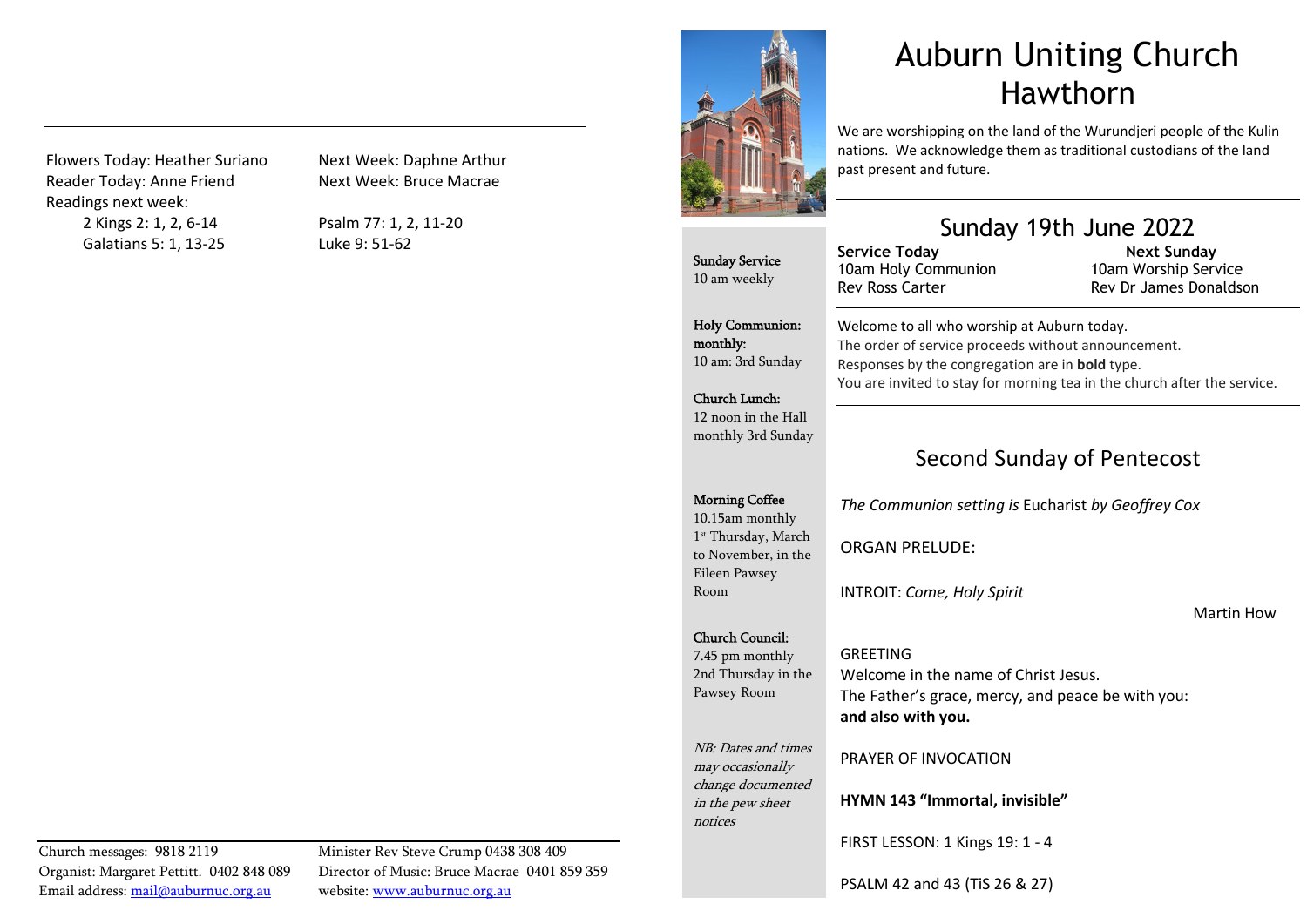Organist: Margaret Pettitt. 0402 848 089 Director of Music: Bruce Macrae 0401 859 359

Church Lunch: 12 noon in the Hall monthly 3rd Sunday Morning Coffee 10.15am monthly 1st Thursday, March to November, in the Eileen Pawsey Room

#### Church Council:

7.45 pm monthly 2nd Thursday in the Pawsey Room

NB: Dates and times may occasionally change documented in the pew sheet notices

PRAYER OF INVOCATION

HYMN 143 "Immortal, invisible"

FIRST LESSON: 1 Kings 19: 1 - 4

PSALM 42 and 43 (TiS 26 & 27)

Flowers Today: Heather Suriano Next Week: Daphne Arthur Reader Today: Anne Friend Next Week: Bruce Macrae Readings next week:

2 Kings 2: 1, 2, 6-14 Psalm 77: 1, 2, 11-20 Galatians 5: 1, 13-25 Luke 9: 51-62



# Auburn Uniting Church Hawthorn

We are worshipping on the land of the Wurundjeri people of the Kulin nations. We acknowledge them as traditional custodians of the land past present and future.

## Sunday Service 10 am weekly

Holy Communion:

10 am: 3rd Sunday

monthly:

Sunday 19th June 2022

 Next Sunday 10am Worship Service Rev Dr James Donaldson

Welcome to all who worship at Auburn today. The order of service proceeds without announcement. Responses by the congregation are in bold type. You are invited to stay for morning tea in the church after the service.

### Second Sunday of Pentecost

*The Communion setting is* Eucharist *by Geoffrey Cox*

ORGAN PRELUDE:

INTROIT: *Come, Holy Spirit*

Martin How

GREETING Welcome in the name of Christ Jesus. The Father's grace, mercy, and peace be with you: and also with you.



Service Today 10am Holy Communion Rev Ross Carter